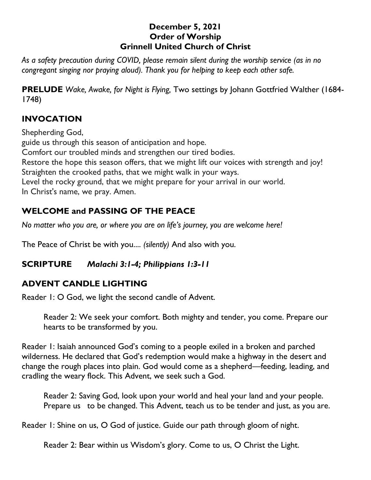#### **December 5, 2021 Order of Worship Grinnell United Church of Christ**

*As a safety precaution during COVID, please remain silent during the worship service (as in no congregant singing nor praying aloud). Thank you for helping to keep each other safe.*

**PRELUDE** *Wake, Awake, for Night is Flying,* Two settings by Johann Gottfried Walther (1684- 1748)

## **INVOCATION**

Shepherding God, guide us through this season of anticipation and hope. Comfort our troubled minds and strengthen our tired bodies. Restore the hope this season offers, that we might lift our voices with strength and joy! Straighten the crooked paths, that we might walk in your ways. Level the rocky ground, that we might prepare for your arrival in our world. In Christ's name, we pray. Amen.

# **WELCOME and PASSING OF THE PEACE**

*No matter who you are, or where you are on life's journey, you are welcome here!*

The Peace of Christ be with you.... *(silently)* And also with you.

## **SCRIPTURE** *Malachi 3:1-4; Philippians 1:3-11*

# **ADVENT CANDLE LIGHTING**

Reader 1: O God, we light the second candle of Advent.

Reader 2: We seek your comfort. Both mighty and tender, you come. Prepare our hearts to be transformed by you.

Reader 1: Isaiah announced God's coming to a people exiled in a broken and parched wilderness. He declared that God's redemption would make a highway in the desert and change the rough places into plain. God would come as a shepherd—feeding, leading, and cradling the weary flock. This Advent, we seek such a God.

Reader 2: Saving God, look upon your world and heal your land and your people. Prepare us to be changed. This Advent, teach us to be tender and just, as you are.

Reader 1: Shine on us, O God of justice. Guide our path through gloom of night.

Reader 2: Bear within us Wisdom's glory. Come to us, O Christ the Light.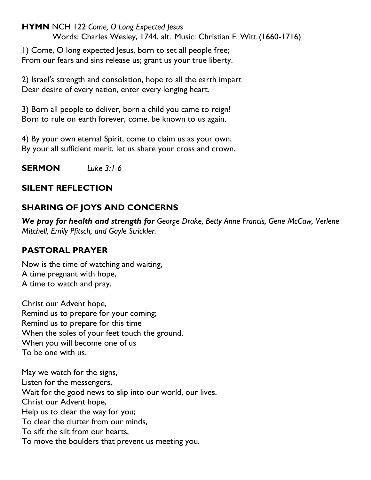**HYMN** NCH 122 *Come, O Long Expected Jesus* Words: Charles Wesley, 1744, alt. Music: Christian F. Witt (1660-1716)

1) Come, O long expected Jesus, born to set all people free; From our fears and sins release us; grant us your true liberty.

2) Israel's strength and consolation, hope to all the earth impart Dear desire of every nation, enter every longing heart.

3) Born all people to deliver, born a child you came to reign! Born to rule on earth forever, come, be known to us again.

4) By your own eternal Spirit, come to claim us as your own; By your all sufficient merit, let us share your cross and crown.

**SERMON** *Luke 3:1-6*

## **SILENT REFLECTION**

# **SHARING OF JOYS AND CONCERNS**

*We pray for health and strength for George Drake, Betty Anne Francis, Gene McCaw, Verlene Mitchell, Emily Pfitsch, and Gayle Strickler.*

## **PASTORAL PRAYER**

Now is the time of watching and waiting, A time pregnant with hope, A time to watch and pray.

Christ our Advent hope, Remind us to prepare for your coming; Remind us to prepare for this time When the soles of your feet touch the ground, When you will become one of us To be one with us.

May we watch for the signs, Listen for the messengers, Wait for the good news to slip into our world, our lives. Christ our Advent hope, Help us to clear the way for you; To clear the clutter from our minds, To sift the silt from our hearts, To move the boulders that prevent us meeting you.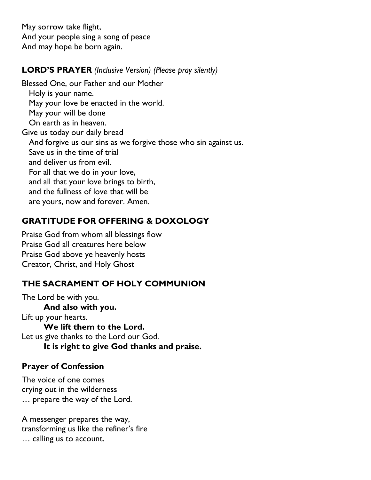May sorrow take flight, And your people sing a song of peace And may hope be born again.

#### **LORD'S PRAYER** *(Inclusive Version) (Please pray silently)*

Blessed One, our Father and our Mother Holy is your name. May your love be enacted in the world. May your will be done On earth as in heaven. Give us today our daily bread And forgive us our sins as we forgive those who sin against us. Save us in the time of trial and deliver us from evil. For all that we do in your love, and all that your love brings to birth, and the fullness of love that will be are yours, now and forever. Amen.

## **GRATITUDE FOR OFFERING & DOXOLOGY**

Praise God from whom all blessings flow Praise God all creatures here below Praise God above ye heavenly hosts Creator, Christ, and Holy Ghost

## **THE SACRAMENT OF HOLY COMMUNION**

The Lord be with you. **And also with you.** Lift up your hearts. **We lift them to the Lord.** Let us give thanks to the Lord our God. **It is right to give God thanks and praise.**

## **Prayer of Confession**

The voice of one comes crying out in the wilderness … prepare the way of the Lord.

A messenger prepares the way, transforming us like the refiner's fire … calling us to account.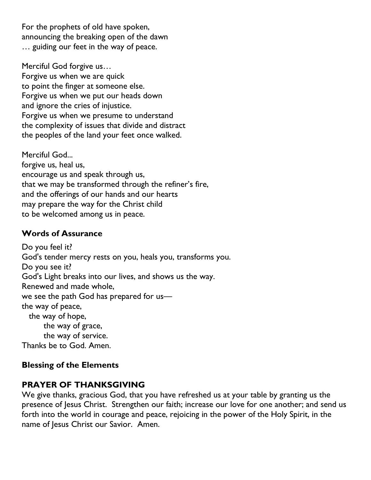For the prophets of old have spoken, announcing the breaking open of the dawn … guiding our feet in the way of peace.

Merciful God forgive us…

Forgive us when we are quick to point the finger at someone else. Forgive us when we put our heads down and ignore the cries of injustice. Forgive us when we presume to understand the complexity of issues that divide and distract the peoples of the land your feet once walked.

Merciful God... forgive us, heal us, encourage us and speak through us, that we may be transformed through the refiner's fire, and the offerings of our hands and our hearts may prepare the way for the Christ child to be welcomed among us in peace.

#### **Words of Assurance**

Do you feel it? God's tender mercy rests on you, heals you, transforms you. Do you see it? God's Light breaks into our lives, and shows us the way. Renewed and made whole, we see the path God has prepared for us the way of peace, the way of hope, the way of grace, the way of service. Thanks be to God. Amen.

#### **Blessing of the Elements**

#### **PRAYER OF THANKSGIVING**

We give thanks, gracious God, that you have refreshed us at your table by granting us the presence of Jesus Christ. Strengthen our faith; increase our love for one another; and send us forth into the world in courage and peace, rejoicing in the power of the Holy Spirit, in the name of Jesus Christ our Savior. Amen.